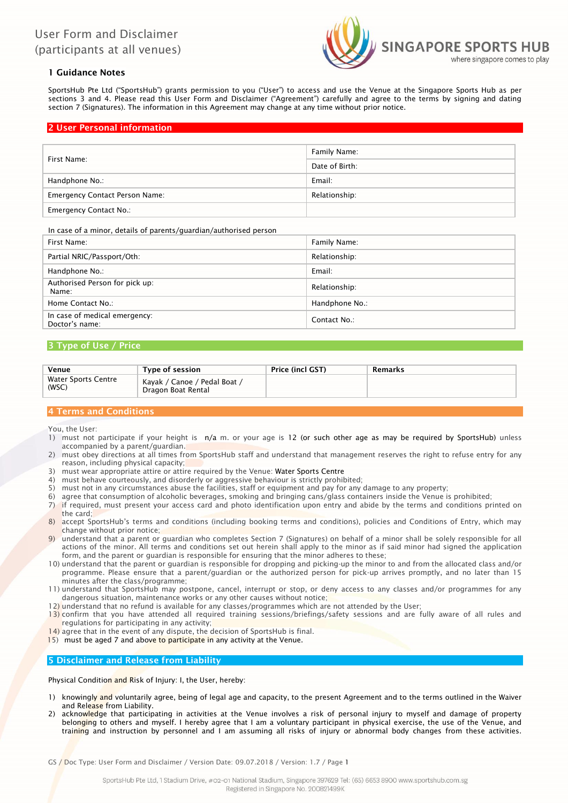

# 1 Guidance Notes

SportsHub Pte Ltd ("SportsHub") grants permission to you ("User") to access and use the Venue at the Singapore Sports Hub as per sections 3 and 4. Please read this User Form and Disclaimer ("Agreement") carefully and agree to the terms by signing and dating section 7 (Signatures). The information in this Agreement may change at any time without prior notice.

## 2 User Personal information

| First Name:                           | Family Name:   |  |  |
|---------------------------------------|----------------|--|--|
|                                       | Date of Birth: |  |  |
| Handphone No.:                        | Email:         |  |  |
| <b>Emergency Contact Person Name:</b> | Relationship:  |  |  |
| <b>Emergency Contact No.:</b>         |                |  |  |

In case of a minor, details of parents/guardian/authorised person

| First Name:                                     | Family Name:   |
|-------------------------------------------------|----------------|
| Partial NRIC/Passport/Oth:                      | Relationship:  |
| Handphone No.:                                  | Email:         |
| Authorised Person for pick up:<br>Name:         | Relationship:  |
| Home Contact No.:                               | Handphone No.: |
| In case of medical emergency:<br>Doctor's name: | Contact No.:   |

## 3 Type of Use / Price

| Venue                        | Type of session                                    | <b>Price (incl GST)</b> | Remarks |
|------------------------------|----------------------------------------------------|-------------------------|---------|
| Water Sports Centre<br>(WSC) | Kayak / Canoe / Pedal Boat /<br>Dragon Boat Rental |                         |         |

# 4 Terms and Conditions

You, the User:

- 1) must not participate if your height is n/a m. or your age is 12 (or such other age as may be required by SportsHub) unless accompanied by a parent/guardian.
- 2) must obey directions at all times from SportsHub staff and understand that management reserves the right to refuse entry for any reason, including physical capacity;
- 3) must wear appropriate attire or attire required by the Venue: Water Sports Centre
- 4) must behave courteously, and disorderly or aggressive behaviour is strictly prohibited;
- 5) must not in any circumstances abuse the facilities, staff or equipment and pay for any damage to any property;
- 6) agree that consumption of alcoholic beverages, smoking and bringing cans/glass containers inside the Venue is prohibited;
- 7) if required, must present your access card and photo identification upon entry and abide by the terms and conditions printed on the card;
- 8) accept SportsHub's terms and conditions (including booking terms and conditions), policies and Conditions of Entry, which may change without prior notice;
- 9) understand that a parent or guardian who completes Section 7 (Signatures) on behalf of a minor shall be solely responsible for all actions of the minor. All terms and conditions set out herein shall apply to the minor as if said minor had signed the application form, and the parent or guardian is responsible for ensuring that the minor adheres to these;
- 10) understand that the parent or guardian is responsible for dropping and picking-up the minor to and from the allocated class and/or programme. Please ensure that a parent/guardian or the authorized person for pick-up arrives promptly, and no later than 15 minutes after the class/programme;
- 11) understand that SportsHub may postpone, cancel, interrupt or stop, or deny access to any classes and/or programmes for any dangerous situation, maintenance works or any other causes without notice;
- 12) understand that no refund is available for any classes/programmes which are not attended by the User;
- 13) confirm that you have attended all required training sessions/briefings/safety sessions and are fully aware of all rules and regulations for participating in any activity;
- 14) agree that in the event of any dispute, the decision of SportsHub is final.
- 15) must be aged 7 and above to participate in any activity at the Venue.

## 5 Disclaimer and Release from Liability

Physical Condition and Risk of Injury: I, the User, hereby:

- 1) knowingly and voluntarily agree, being of legal age and capacity, to the present Agreement and to the terms outlined in the Waiver and Release from Liability.
- acknowledge that participating in activities at the Venue involves a risk of personal injury to myself and damage of property belonging to others and myself. I hereby agree that I am a voluntary participant in physical exercise, the use of the Venue, and training and instruction by personnel and I am assuming all risks of injury or abnormal body changes from these activities.

GS / Doc Type: User Form and Disclaimer / Version Date: 09.07.2018 / Version: 1.7 / Page 1